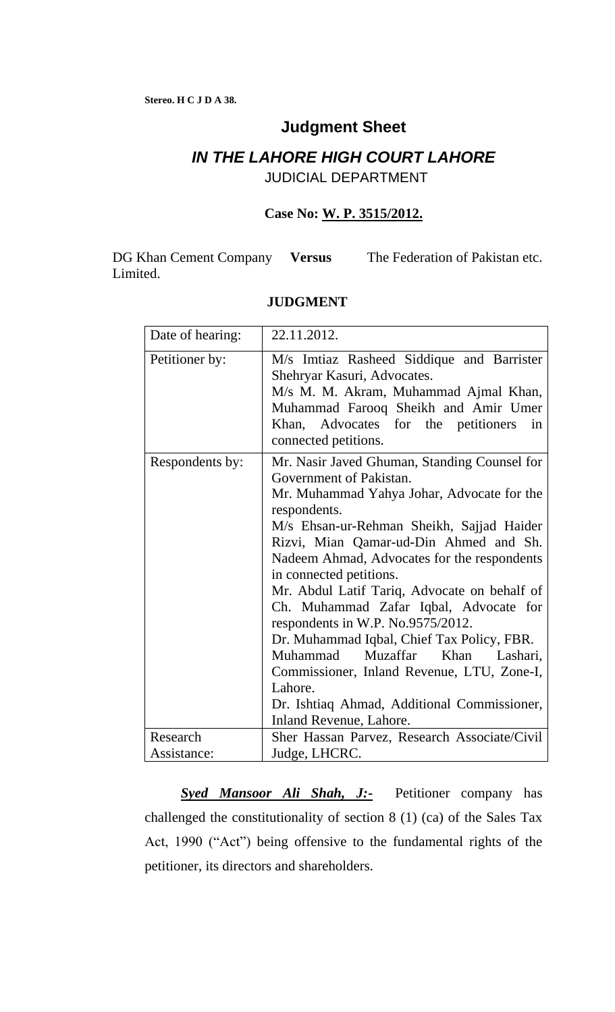# **Judgment Sheet**

## *IN THE LAHORE HIGH COURT LAHORE* JUDICIAL DEPARTMENT

## **Case No: W. P. 3515/2012.**

DG Khan Cement Company Versus Limited. The Federation of Pakistan etc.

| Date of hearing: | 22.11.2012.                                                                                                                                                                                                                                                                                                                                                                                                                                                                                                                                                                                                                                                     |
|------------------|-----------------------------------------------------------------------------------------------------------------------------------------------------------------------------------------------------------------------------------------------------------------------------------------------------------------------------------------------------------------------------------------------------------------------------------------------------------------------------------------------------------------------------------------------------------------------------------------------------------------------------------------------------------------|
| Petitioner by:   | M/s Imtiaz Rasheed Siddique and Barrister<br>Shehryar Kasuri, Advocates.<br>M/s M. M. Akram, Muhammad Ajmal Khan,<br>Muhammad Farooq Sheikh and Amir Umer<br>Khan, Advocates for the petitioners<br>in<br>connected petitions.                                                                                                                                                                                                                                                                                                                                                                                                                                  |
| Respondents by:  | Mr. Nasir Javed Ghuman, Standing Counsel for<br>Government of Pakistan.<br>Mr. Muhammad Yahya Johar, Advocate for the<br>respondents.<br>M/s Ehsan-ur-Rehman Sheikh, Sajjad Haider<br>Rizvi, Mian Qamar-ud-Din Ahmed and Sh.<br>Nadeem Ahmad, Advocates for the respondents<br>in connected petitions.<br>Mr. Abdul Latif Tariq, Advocate on behalf of<br>Ch. Muhammad Zafar Iqbal, Advocate for<br>respondents in W.P. No.9575/2012.<br>Dr. Muhammad Iqbal, Chief Tax Policy, FBR.<br>Muhammad Muzaffar<br>Khan<br>Lashari,<br>Commissioner, Inland Revenue, LTU, Zone-I,<br>Lahore.<br>Dr. Ishtiaq Ahmad, Additional Commissioner,<br>Inland Revenue, Lahore. |
| Research         | Sher Hassan Parvez, Research Associate/Civil                                                                                                                                                                                                                                                                                                                                                                                                                                                                                                                                                                                                                    |
| Assistance:      | Judge, LHCRC.                                                                                                                                                                                                                                                                                                                                                                                                                                                                                                                                                                                                                                                   |

## **JUDGMENT**

*Syed Mansoor Ali Shah, J:-* Petitioner company has challenged the constitutionality of section 8 (1) (ca) of the Sales Tax Act, 1990 ("Act") being offensive to the fundamental rights of the petitioner, its directors and shareholders.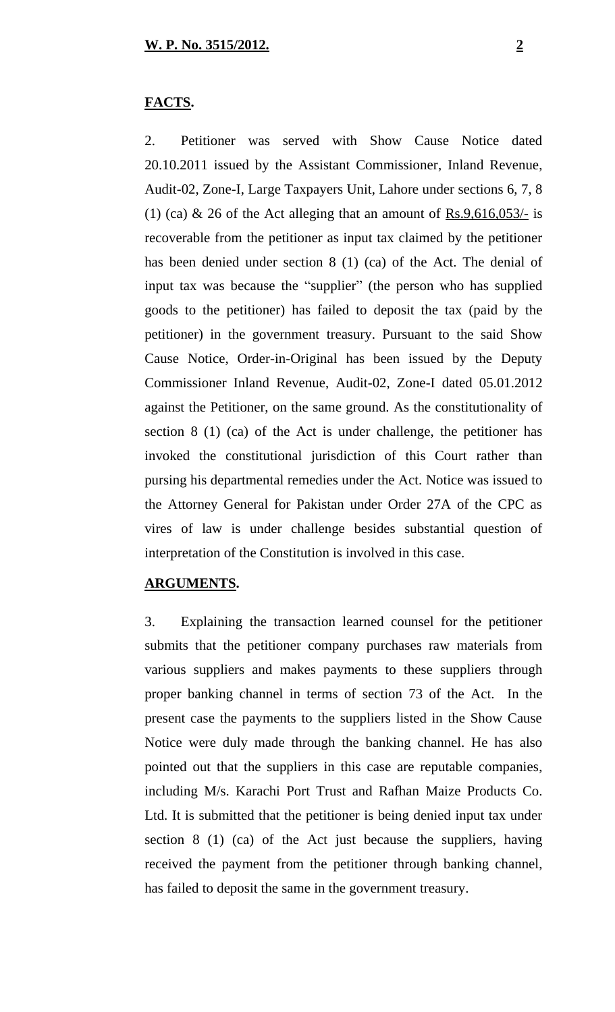### **FACTS.**

2. Petitioner was served with Show Cause Notice dated 20.10.2011 issued by the Assistant Commissioner, Inland Revenue, Audit-02, Zone-I, Large Taxpayers Unit, Lahore under sections 6, 7, 8 (1) (ca) & 26 of the Act alleging that an amount of  $\frac{Rs.9,616,053}{1}$  is recoverable from the petitioner as input tax claimed by the petitioner has been denied under section 8 (1) (ca) of the Act. The denial of input tax was because the "supplier" (the person who has supplied goods to the petitioner) has failed to deposit the tax (paid by the petitioner) in the government treasury. Pursuant to the said Show Cause Notice, Order-in-Original has been issued by the Deputy Commissioner Inland Revenue, Audit-02, Zone-I dated 05.01.2012 against the Petitioner, on the same ground. As the constitutionality of section 8 (1) (ca) of the Act is under challenge, the petitioner has invoked the constitutional jurisdiction of this Court rather than pursing his departmental remedies under the Act. Notice was issued to the Attorney General for Pakistan under Order 27A of the CPC as vires of law is under challenge besides substantial question of interpretation of the Constitution is involved in this case.

#### **ARGUMENTS.**

3. Explaining the transaction learned counsel for the petitioner submits that the petitioner company purchases raw materials from various suppliers and makes payments to these suppliers through proper banking channel in terms of section 73 of the Act. In the present case the payments to the suppliers listed in the Show Cause Notice were duly made through the banking channel. He has also pointed out that the suppliers in this case are reputable companies, including M/s. Karachi Port Trust and Rafhan Maize Products Co. Ltd. It is submitted that the petitioner is being denied input tax under section 8 (1) (ca) of the Act just because the suppliers, having received the payment from the petitioner through banking channel, has failed to deposit the same in the government treasury.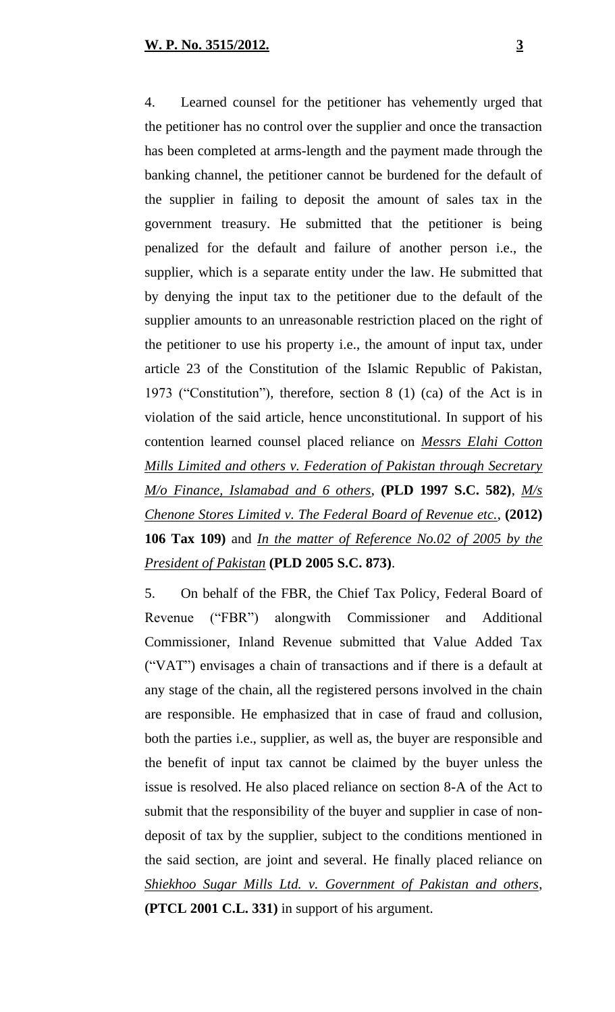4. Learned counsel for the petitioner has vehemently urged that the petitioner has no control over the supplier and once the transaction has been completed at arms-length and the payment made through the banking channel, the petitioner cannot be burdened for the default of the supplier in failing to deposit the amount of sales tax in the government treasury. He submitted that the petitioner is being penalized for the default and failure of another person i.e., the supplier, which is a separate entity under the law. He submitted that by denying the input tax to the petitioner due to the default of the supplier amounts to an unreasonable restriction placed on the right of the petitioner to use his property i.e., the amount of input tax, under article 23 of the Constitution of the Islamic Republic of Pakistan, 1973 ("Constitution"), therefore, section 8 (1) (ca) of the Act is in violation of the said article, hence unconstitutional. In support of his contention learned counsel placed reliance on *Messrs Elahi Cotton Mills Limited and others v. Federation of Pakistan through Secretary M/o Finance, Islamabad and 6 others*, **(PLD 1997 S.C. 582)**, *M/s Chenone Stores Limited v. The Federal Board of Revenue etc.*, **(2012) 106 Tax 109)** and *In the matter of Reference No.02 of 2005 by the President of Pakistan* **(PLD 2005 S.C. 873)**.

5. On behalf of the FBR, the Chief Tax Policy, Federal Board of Revenue ("FBR") alongwith Commissioner and Additional Commissioner, Inland Revenue submitted that Value Added Tax ("VAT") envisages a chain of transactions and if there is a default at any stage of the chain, all the registered persons involved in the chain are responsible. He emphasized that in case of fraud and collusion, both the parties i.e., supplier, as well as, the buyer are responsible and the benefit of input tax cannot be claimed by the buyer unless the issue is resolved. He also placed reliance on section 8-A of the Act to submit that the responsibility of the buyer and supplier in case of nondeposit of tax by the supplier, subject to the conditions mentioned in the said section, are joint and several. He finally placed reliance on *Shiekhoo Sugar Mills Ltd. v. Government of Pakistan and others*, **(PTCL 2001 C.L. 331)** in support of his argument.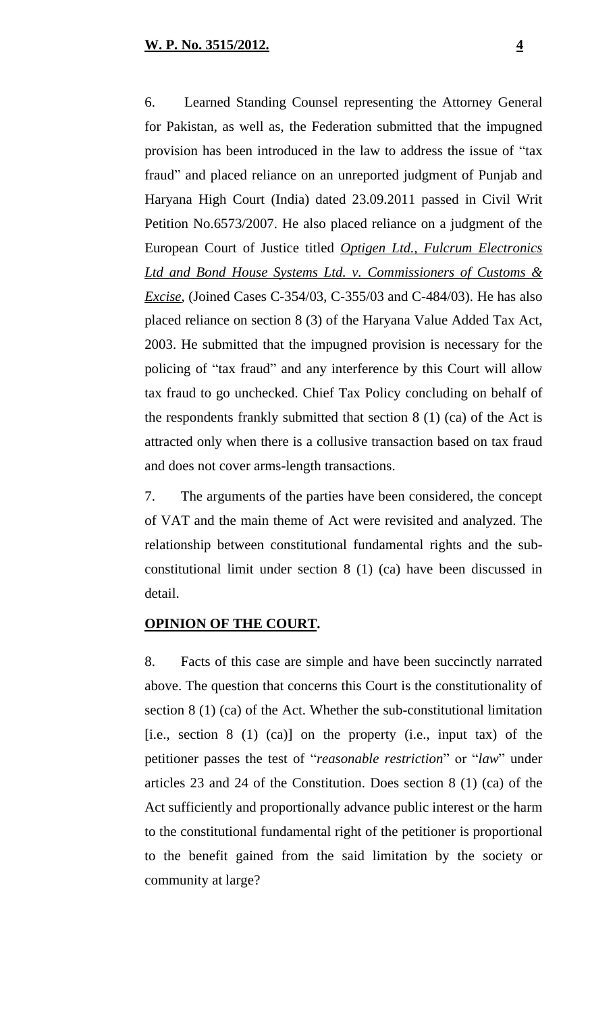6. Learned Standing Counsel representing the Attorney General for Pakistan, as well as, the Federation submitted that the impugned provision has been introduced in the law to address the issue of "tax fraud" and placed reliance on an unreported judgment of Punjab and Haryana High Court (India) dated 23.09.2011 passed in Civil Writ Petition No.6573/2007. He also placed reliance on a judgment of the European Court of Justice titled *Optigen Ltd., Fulcrum Electronics Ltd and Bond House Systems Ltd. v. Commissioners of Customs & Excise*, (Joined Cases C-354/03, C-355/03 and C-484/03). He has also placed reliance on section 8 (3) of the Haryana Value Added Tax Act, 2003. He submitted that the impugned provision is necessary for the policing of "tax fraud" and any interference by this Court will allow tax fraud to go unchecked. Chief Tax Policy concluding on behalf of the respondents frankly submitted that section 8 (1) (ca) of the Act is attracted only when there is a collusive transaction based on tax fraud and does not cover arms-length transactions.

7. The arguments of the parties have been considered, the concept of VAT and the main theme of Act were revisited and analyzed. The relationship between constitutional fundamental rights and the subconstitutional limit under section 8 (1) (ca) have been discussed in detail.

### **OPINION OF THE COURT.**

8. Facts of this case are simple and have been succinctly narrated above. The question that concerns this Court is the constitutionality of section 8 (1) (ca) of the Act. Whether the sub-constitutional limitation [i.e., section 8 (1) (ca)] on the property (i.e., input tax) of the petitioner passes the test of "*reasonable restriction*" or "*law*" under articles 23 and 24 of the Constitution. Does section 8 (1) (ca) of the Act sufficiently and proportionally advance public interest or the harm to the constitutional fundamental right of the petitioner is proportional to the benefit gained from the said limitation by the society or community at large?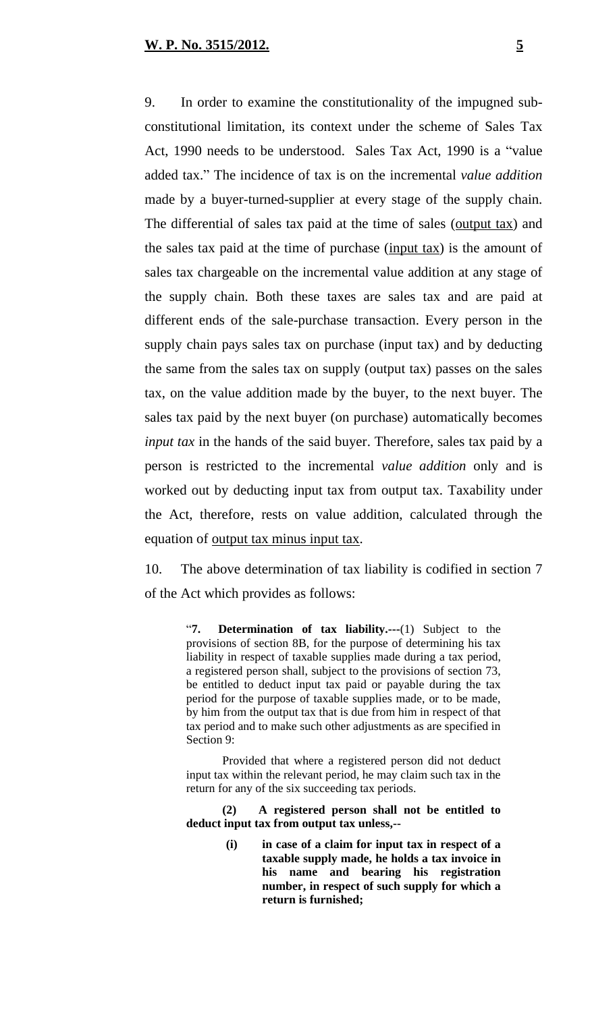9. In order to examine the constitutionality of the impugned subconstitutional limitation, its context under the scheme of Sales Tax Act, 1990 needs to be understood. Sales Tax Act, 1990 is a "value added tax." The incidence of tax is on the incremental *value addition* made by a buyer-turned-supplier at every stage of the supply chain. The differential of sales tax paid at the time of sales (output tax) and the sales tax paid at the time of purchase (input tax) is the amount of sales tax chargeable on the incremental value addition at any stage of the supply chain. Both these taxes are sales tax and are paid at different ends of the sale-purchase transaction. Every person in the supply chain pays sales tax on purchase (input tax) and by deducting the same from the sales tax on supply (output tax) passes on the sales tax, on the value addition made by the buyer, to the next buyer. The sales tax paid by the next buyer (on purchase) automatically becomes *input tax* in the hands of the said buyer. Therefore, sales tax paid by a person is restricted to the incremental *value addition* only and is worked out by deducting input tax from output tax. Taxability under the Act, therefore, rests on value addition, calculated through the equation of <u>output tax</u> minus input tax.

10. The above determination of tax liability is codified in section 7 of the Act which provides as follows:

> "**7. Determination of tax liability.---**(1) Subject to the provisions of section 8B, for the purpose of determining his tax liability in respect of taxable supplies made during a tax period, a registered person shall, subject to the provisions of section 73, be entitled to deduct input tax paid or payable during the tax period for the purpose of taxable supplies made, or to be made, by him from the output tax that is due from him in respect of that tax period and to make such other adjustments as are specified in Section 9:

> Provided that where a registered person did not deduct input tax within the relevant period, he may claim such tax in the return for any of the six succeeding tax periods.

> **(2) A registered person shall not be entitled to deduct input tax from output tax unless,--**

> > **(i) in case of a claim for input tax in respect of a taxable supply made, he holds a tax invoice in his name and bearing his registration number, in respect of such supply for which a return is furnished;**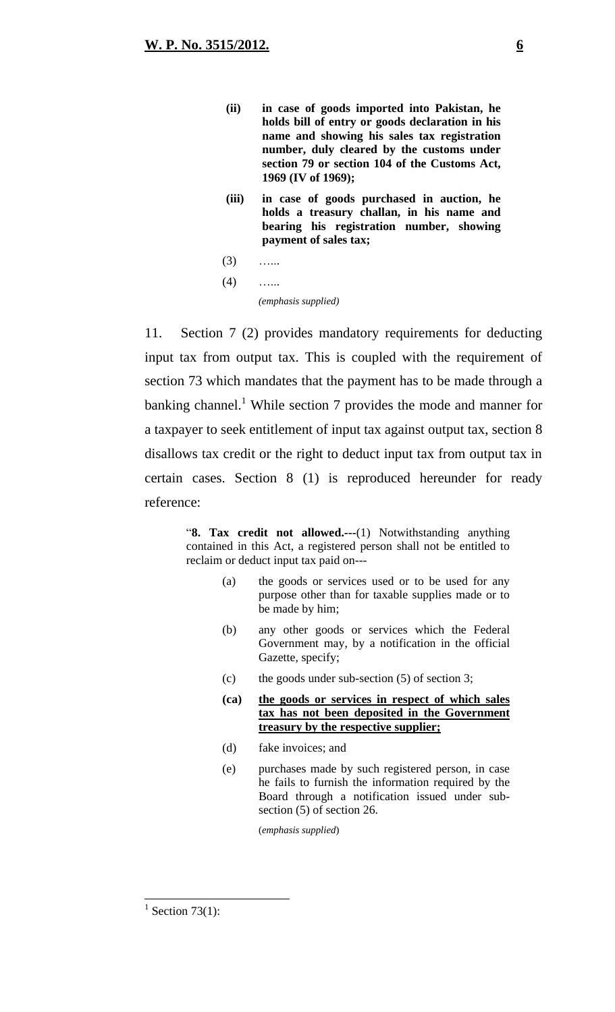- **(ii) in case of goods imported into Pakistan, he holds bill of entry or goods declaration in his name and showing his sales tax registration number, duly cleared by the customs under section 79 or section 104 of the Customs Act, 1969 (IV of 1969);**
- **(iii) in case of goods purchased in auction, he holds a treasury challan, in his name and bearing his registration number, showing payment of sales tax;**
- $(3)$  …
- $(4)$  ……

*(emphasis supplied)*

11. Section 7 (2) provides mandatory requirements for deducting input tax from output tax. This is coupled with the requirement of section 73 which mandates that the payment has to be made through a banking channel.<sup>1</sup> While section 7 provides the mode and manner for a taxpayer to seek entitlement of input tax against output tax, section 8 disallows tax credit or the right to deduct input tax from output tax in certain cases. Section 8 (1) is reproduced hereunder for ready reference:

> "**8. Tax credit not allowed.---**(1) Notwithstanding anything contained in this Act, a registered person shall not be entitled to reclaim or deduct input tax paid on---

- (a) the goods or services used or to be used for any purpose other than for taxable supplies made or to be made by him;
- (b) any other goods or services which the Federal Government may, by a notification in the official Gazette, specify;
- (c) the goods under sub-section (5) of section 3;
- **(ca) the goods or services in respect of which sales tax has not been deposited in the Government treasury by the respective supplier;**
- (d) fake invoices; and
- (e) purchases made by such registered person, in case he fails to furnish the information required by the Board through a notification issued under subsection (5) of section 26.

(*emphasis supplied*)

 $1$  Section 73(1):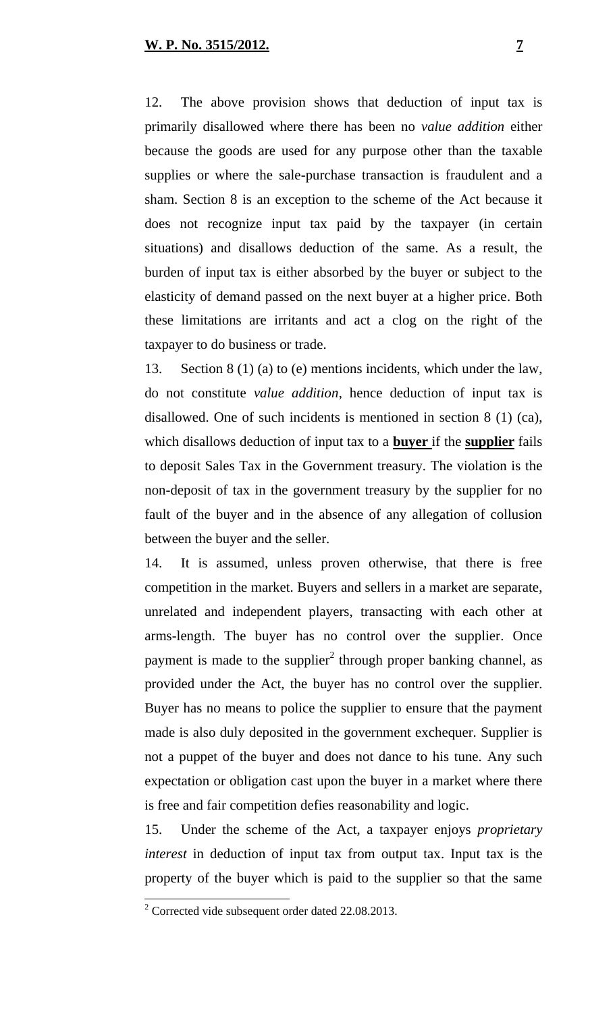12. The above provision shows that deduction of input tax is primarily disallowed where there has been no *value addition* either because the goods are used for any purpose other than the taxable supplies or where the sale-purchase transaction is fraudulent and a sham. Section 8 is an exception to the scheme of the Act because it does not recognize input tax paid by the taxpayer (in certain situations) and disallows deduction of the same. As a result, the burden of input tax is either absorbed by the buyer or subject to the elasticity of demand passed on the next buyer at a higher price. Both these limitations are irritants and act a clog on the right of the taxpayer to do business or trade.

13. Section 8 (1) (a) to (e) mentions incidents, which under the law, do not constitute *value addition*, hence deduction of input tax is disallowed. One of such incidents is mentioned in section 8 (1) (ca), which disallows deduction of input tax to a **buyer** if the **supplier** fails to deposit Sales Tax in the Government treasury. The violation is the non-deposit of tax in the government treasury by the supplier for no fault of the buyer and in the absence of any allegation of collusion between the buyer and the seller.

14. It is assumed, unless proven otherwise, that there is free competition in the market. Buyers and sellers in a market are separate, unrelated and independent players, transacting with each other at arms-length. The buyer has no control over the supplier. Once payment is made to the supplier<sup>2</sup> through proper banking channel, as provided under the Act, the buyer has no control over the supplier. Buyer has no means to police the supplier to ensure that the payment made is also duly deposited in the government exchequer. Supplier is not a puppet of the buyer and does not dance to his tune. Any such expectation or obligation cast upon the buyer in a market where there is free and fair competition defies reasonability and logic.

15. Under the scheme of the Act, a taxpayer enjoys *proprietary interest* in deduction of input tax from output tax. Input tax is the property of the buyer which is paid to the supplier so that the same

<sup>&</sup>lt;sup>2</sup> Corrected vide subsequent order dated 22.08.2013.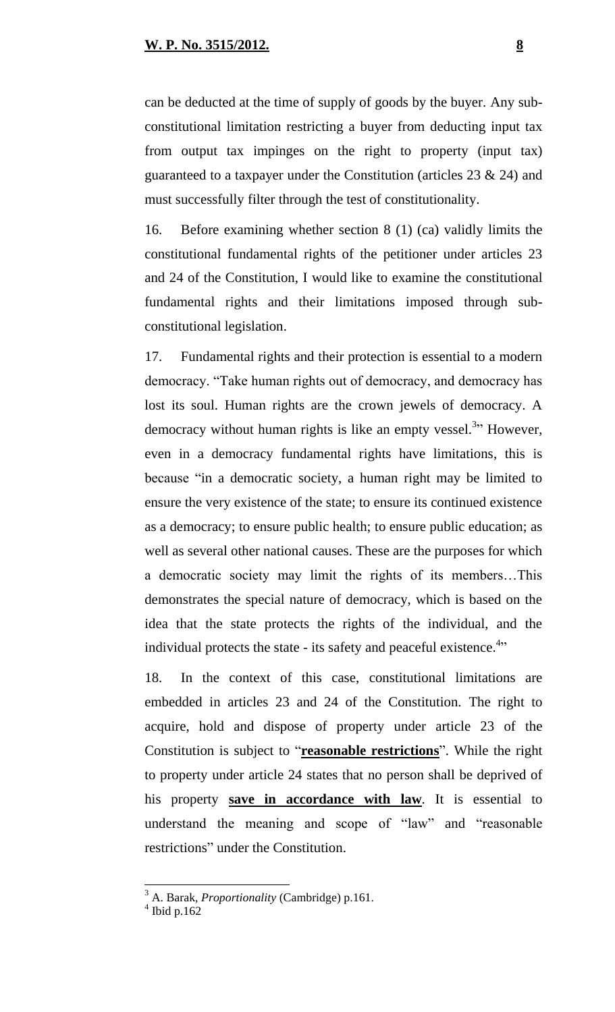can be deducted at the time of supply of goods by the buyer. Any subconstitutional limitation restricting a buyer from deducting input tax from output tax impinges on the right to property (input tax) guaranteed to a taxpayer under the Constitution (articles 23 & 24) and must successfully filter through the test of constitutionality.

16. Before examining whether section 8 (1) (ca) validly limits the constitutional fundamental rights of the petitioner under articles 23 and 24 of the Constitution, I would like to examine the constitutional fundamental rights and their limitations imposed through subconstitutional legislation.

17. Fundamental rights and their protection is essential to a modern democracy. "Take human rights out of democracy, and democracy has lost its soul. Human rights are the crown jewels of democracy. A democracy without human rights is like an empty vessel.<sup>3</sup>" However, even in a democracy fundamental rights have limitations, this is because "in a democratic society, a human right may be limited to ensure the very existence of the state; to ensure its continued existence as a democracy; to ensure public health; to ensure public education; as well as several other national causes. These are the purposes for which a democratic society may limit the rights of its members…This demonstrates the special nature of democracy, which is based on the idea that the state protects the rights of the individual, and the individual protects the state - its safety and peaceful existence. $4$ 

18. In the context of this case, constitutional limitations are embedded in articles 23 and 24 of the Constitution. The right to acquire, hold and dispose of property under article 23 of the Constitution is subject to "**reasonable restrictions**". While the right to property under article 24 states that no person shall be deprived of his property **save in accordance with law**. It is essential to understand the meaning and scope of "law" and "reasonable restrictions" under the Constitution.

<sup>3</sup> A. Barak, *Proportionality* (Cambridge) p.161.

 $4$  Ibid p.162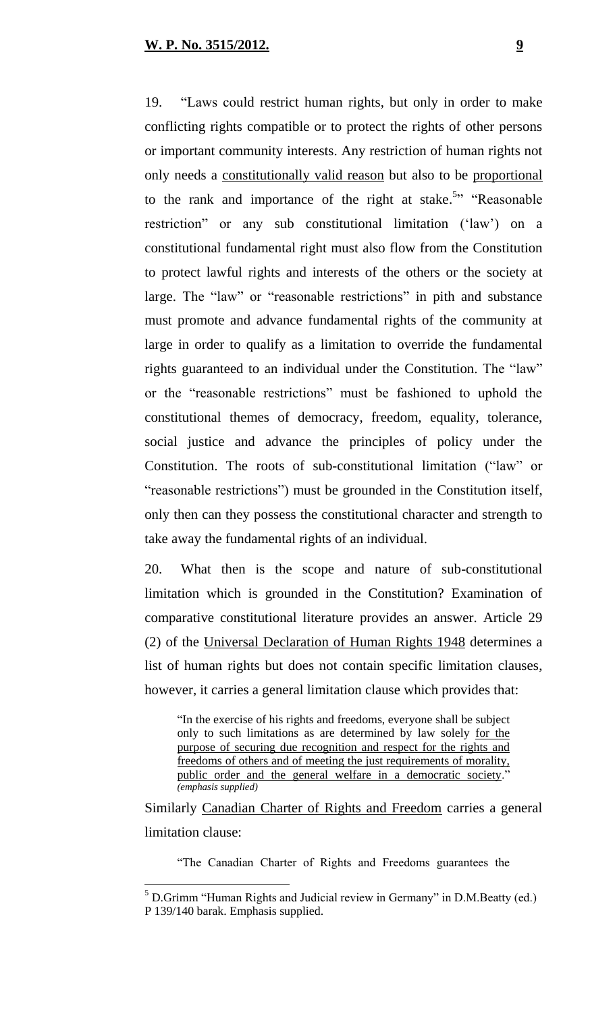19. "Laws could restrict human rights, but only in order to make conflicting rights compatible or to protect the rights of other persons or important community interests. Any restriction of human rights not only needs a constitutionally valid reason but also to be proportional to the rank and importance of the right at stake.<sup>5</sup><sup>2</sup> "Reasonable" restriction" or any sub constitutional limitation ('law') on a constitutional fundamental right must also flow from the Constitution to protect lawful rights and interests of the others or the society at large. The "law" or "reasonable restrictions" in pith and substance must promote and advance fundamental rights of the community at large in order to qualify as a limitation to override the fundamental rights guaranteed to an individual under the Constitution. The "law" or the "reasonable restrictions" must be fashioned to uphold the constitutional themes of democracy, freedom, equality, tolerance, social justice and advance the principles of policy under the Constitution. The roots of sub-constitutional limitation ("law" or "reasonable restrictions") must be grounded in the Constitution itself, only then can they possess the constitutional character and strength to take away the fundamental rights of an individual.

20. What then is the scope and nature of sub-constitutional limitation which is grounded in the Constitution? Examination of comparative constitutional literature provides an answer. Article 29 (2) of the Universal Declaration of Human Rights 1948 determines a list of human rights but does not contain specific limitation clauses, however, it carries a general limitation clause which provides that:

"In the exercise of his rights and freedoms, everyone shall be subject only to such limitations as are determined by law solely for the purpose of securing due recognition and respect for the rights and freedoms of others and of meeting the just requirements of morality, public order and the general welfare in a democratic society." *(emphasis supplied)*

Similarly Canadian Charter of Rights and Freedom carries a general limitation clause:

"The Canadian Charter of Rights and Freedoms guarantees the

 $<sup>5</sup>$  D.Grimm "Human Rights and Judicial review in Germany" in D.M.Beatty (ed.)</sup> P 139/140 barak. Emphasis supplied.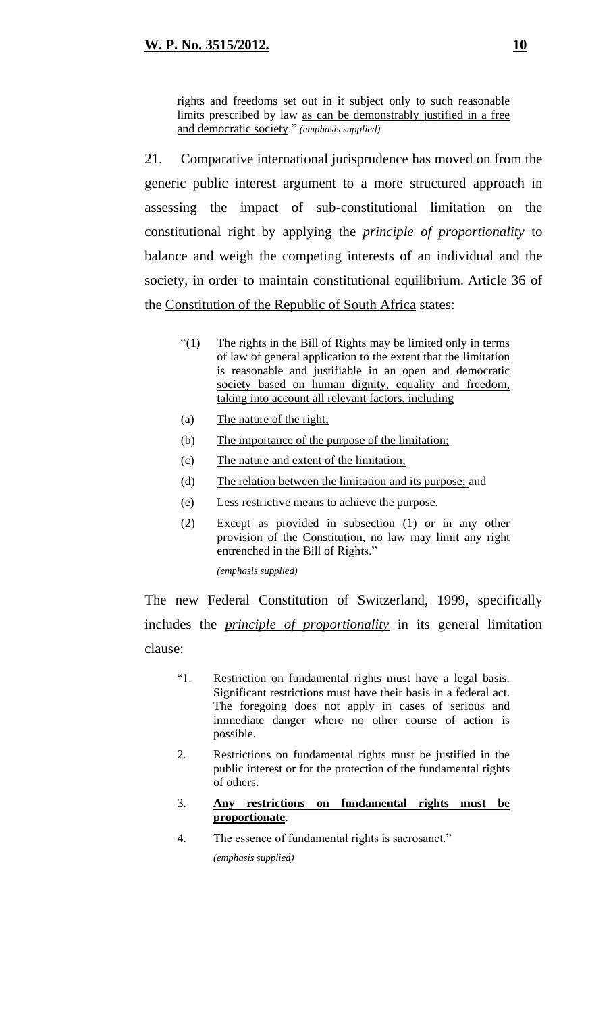rights and freedoms set out in it subject only to such reasonable limits prescribed by law as can be demonstrably justified in a free and democratic society." *(emphasis supplied)*

21. Comparative international jurisprudence has moved on from the generic public interest argument to a more structured approach in assessing the impact of sub-constitutional limitation on the constitutional right by applying the *principle of proportionality* to balance and weigh the competing interests of an individual and the society, in order to maintain constitutional equilibrium. Article 36 of the Constitution of the Republic of South Africa states:

- "(1) The rights in the Bill of Rights may be limited only in terms of law of general application to the extent that the limitation is reasonable and justifiable in an open and democratic society based on human dignity, equality and freedom, taking into account all relevant factors, including
- (a) The nature of the right;
- (b) The importance of the purpose of the limitation;
- (c) The nature and extent of the limitation;
- (d) The relation between the limitation and its purpose; and
- (e) Less restrictive means to achieve the purpose.
- (2) Except as provided in subsection (1) or in any other provision of the Constitution, no law may limit any right entrenched in the Bill of Rights."

*(emphasis supplied)*

The new Federal Constitution of Switzerland, 1999, specifically includes the *principle of proportionality* in its general limitation clause:

- "1. Restriction on fundamental rights must have a legal basis. Significant restrictions must have their basis in a federal act. The foregoing does not apply in cases of serious and immediate danger where no other course of action is possible.
- 2. Restrictions on fundamental rights must be justified in the public interest or for the protection of the fundamental rights of others.
- 3. **Any restrictions on fundamental rights must be proportionate**.
- 4. The essence of fundamental rights is sacrosanct." *(emphasis supplied)*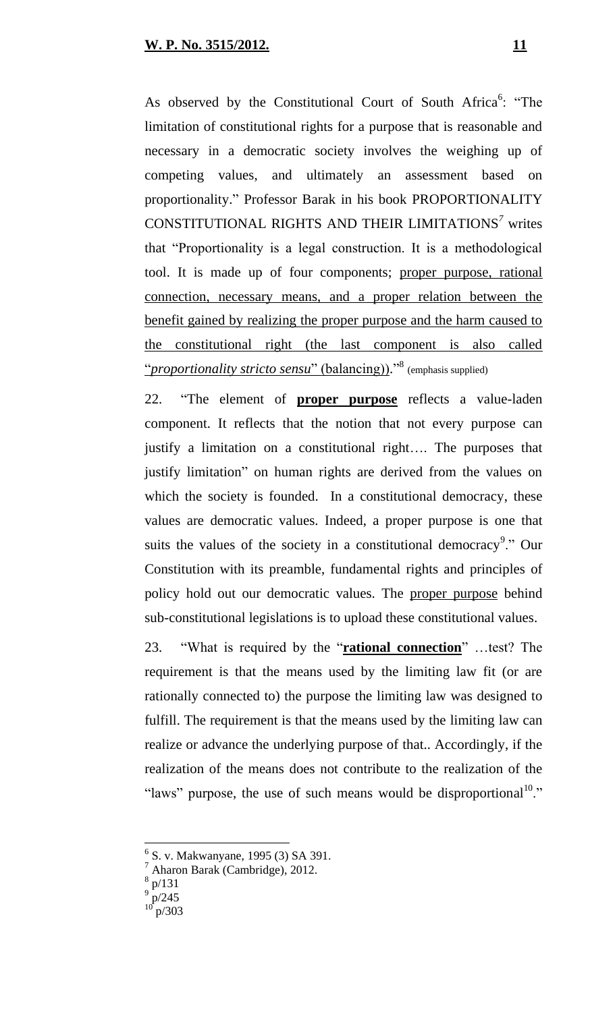As observed by the Constitutional Court of South Africa<sup>6</sup>: "The limitation of constitutional rights for a purpose that is reasonable and necessary in a democratic society involves the weighing up of competing values, and ultimately an assessment based on proportionality." Professor Barak in his book PROPORTIONALITY CONSTITUTIONAL RIGHTS AND THEIR LIMITATIONS*<sup>7</sup>* writes that "Proportionality is a legal construction. It is a methodological tool. It is made up of four components; proper purpose, rational connection, necessary means, and a proper relation between the benefit gained by realizing the proper purpose and the harm caused to the constitutional right (the last component is also called "*proportionality stricto sensu*" (balancing))." 8 (emphasis supplied)

22. "The element of **proper purpose** reflects a value-laden component. It reflects that the notion that not every purpose can justify a limitation on a constitutional right…. The purposes that justify limitation" on human rights are derived from the values on which the society is founded. In a constitutional democracy, these values are democratic values. Indeed, a proper purpose is one that suits the values of the society in a constitutional democracy<sup>9</sup>." Our Constitution with its preamble, fundamental rights and principles of policy hold out our democratic values. The proper purpose behind sub-constitutional legislations is to upload these constitutional values.

23. "What is required by the "**rational connection**" …test? The requirement is that the means used by the limiting law fit (or are rationally connected to) the purpose the limiting law was designed to fulfill. The requirement is that the means used by the limiting law can realize or advance the underlying purpose of that.. Accordingly, if the realization of the means does not contribute to the realization of the "laws" purpose, the use of such means would be disproportional  $\cdot$ "

<sup>&</sup>lt;sup>6</sup> S. v. Makwanyane, 1995 (3) SA 391.

Aharon Barak (Cambridge), 2012.

p/131

 $^{9}$  p/245

p/303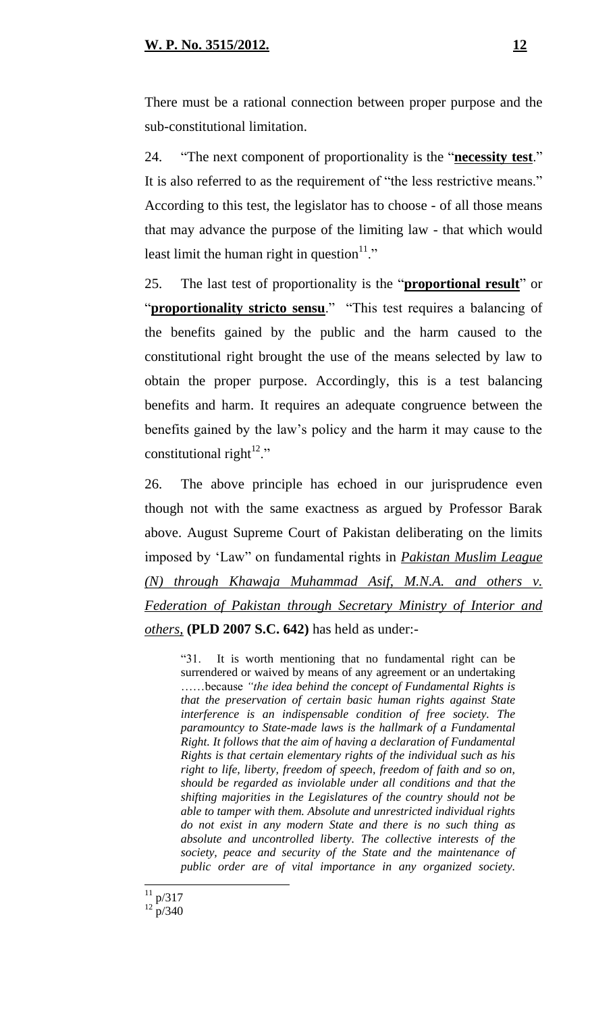#### **W. P. No. 3515/2012. 12**

There must be a rational connection between proper purpose and the sub-constitutional limitation.

24. "The next component of proportionality is the "**necessity test**." It is also referred to as the requirement of "the less restrictive means." According to this test, the legislator has to choose - of all those means that may advance the purpose of the limiting law - that which would least limit the human right in question $11$ ."

25. The last test of proportionality is the "**proportional result**" or "**proportionality stricto sensu**." "This test requires a balancing of the benefits gained by the public and the harm caused to the constitutional right brought the use of the means selected by law to obtain the proper purpose. Accordingly, this is a test balancing benefits and harm. It requires an adequate congruence between the benefits gained by the law's policy and the harm it may cause to the constitutional right $^{12}$ ."

26. The above principle has echoed in our jurisprudence even though not with the same exactness as argued by Professor Barak above. August Supreme Court of Pakistan deliberating on the limits imposed by 'Law" on fundamental rights in *Pakistan Muslim League (N) through Khawaja Muhammad Asif, M.N.A. and others v. Federation of Pakistan through Secretary Ministry of Interior and others,* **(PLD 2007 S.C. 642)** has held as under:-

"31. It is worth mentioning that no fundamental right can be surrendered or waived by means of any agreement or an undertaking ……because *"the idea behind the concept of Fundamental Rights is that the preservation of certain basic human rights against State interference is an indispensable condition of free society. The paramountcy to State-made laws is the hallmark of a Fundamental Right. It follows that the aim of having a declaration of Fundamental Rights is that certain elementary rights of the individual such as his right to life, liberty, freedom of speech, freedom of faith and so on, should be regarded as inviolable under all conditions and that the shifting majorities in the Legislatures of the country should not be able to tamper with them. Absolute and unrestricted individual rights do not exist in any modern State and there is no such thing as absolute and uncontrolled liberty. The collective interests of the society, peace and security of the State and the maintenance of public order are of vital importance in any organized society.* 

 $\overline{a}$  $11$  p/317

 $12 \frac{P}{P}$  (340)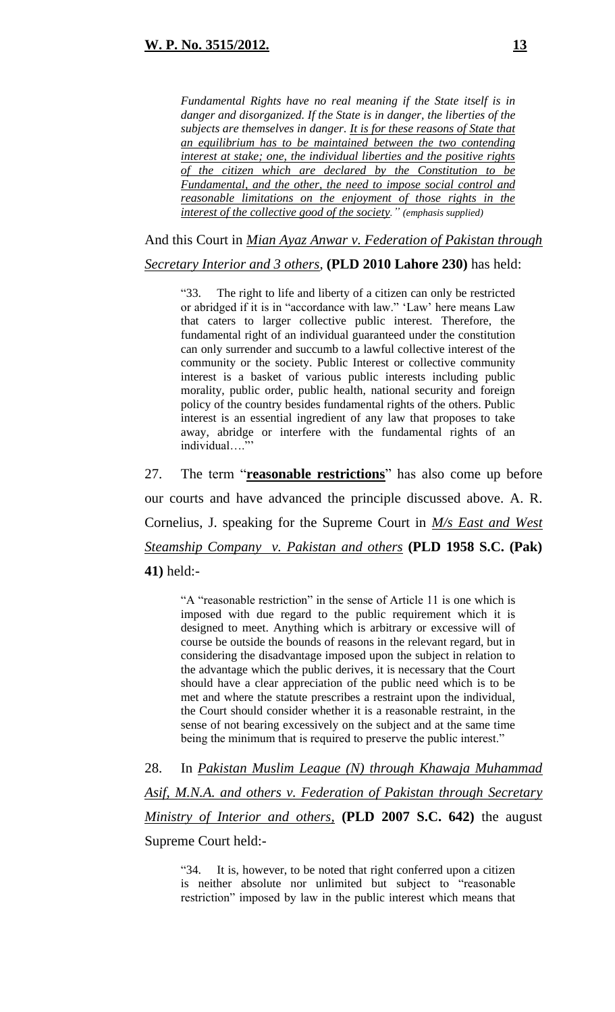*Fundamental Rights have no real meaning if the State itself is in danger and disorganized. If the State is in danger, the liberties of the subjects are themselves in danger. It is for these reasons of State that an equilibrium has to be maintained between the two contending interest at stake; one, the individual liberties and the positive rights of the citizen which are declared by the Constitution to be Fundamental, and the other, the need to impose social control and reasonable limitations on the enjoyment of those rights in the interest of the collective good of the society." (emphasis supplied)*

And this Court in *Mian Ayaz Anwar v. Federation of Pakistan through* 

*Secretary Interior and 3 others*, **(PLD 2010 Lahore 230)** has held:

"33. The right to life and liberty of a citizen can only be restricted or abridged if it is in "accordance with law." 'Law' here means Law that caters to larger collective public interest. Therefore, the fundamental right of an individual guaranteed under the constitution can only surrender and succumb to a lawful collective interest of the community or the society. Public Interest or collective community interest is a basket of various public interests including public morality, public order, public health, national security and foreign policy of the country besides fundamental rights of the others. Public interest is an essential ingredient of any law that proposes to take away, abridge or interfere with the fundamental rights of an individual..."

27. The term "**reasonable restrictions**" has also come up before our courts and have advanced the principle discussed above. A. R. Cornelius, J. speaking for the Supreme Court in *M/s East and West Steamship Company v. Pakistan and others* **(PLD 1958 S.C. (Pak) 41)** held:-

"A "reasonable restriction" in the sense of Article 11 is one which is imposed with due regard to the public requirement which it is designed to meet. Anything which is arbitrary or excessive will of course be outside the bounds of reasons in the relevant regard, but in considering the disadvantage imposed upon the subject in relation to the advantage which the public derives, it is necessary that the Court should have a clear appreciation of the public need which is to be met and where the statute prescribes a restraint upon the individual, the Court should consider whether it is a reasonable restraint, in the sense of not bearing excessively on the subject and at the same time being the minimum that is required to preserve the public interest."

28. In *Pakistan Muslim League (N) through Khawaja Muhammad Asif, M.N.A. and others v. Federation of Pakistan through Secretary Ministry of Interior and others,* **(PLD 2007 S.C. 642)** the august Supreme Court held:-

"34. It is, however, to be noted that right conferred upon a citizen is neither absolute nor unlimited but subject to "reasonable restriction" imposed by law in the public interest which means that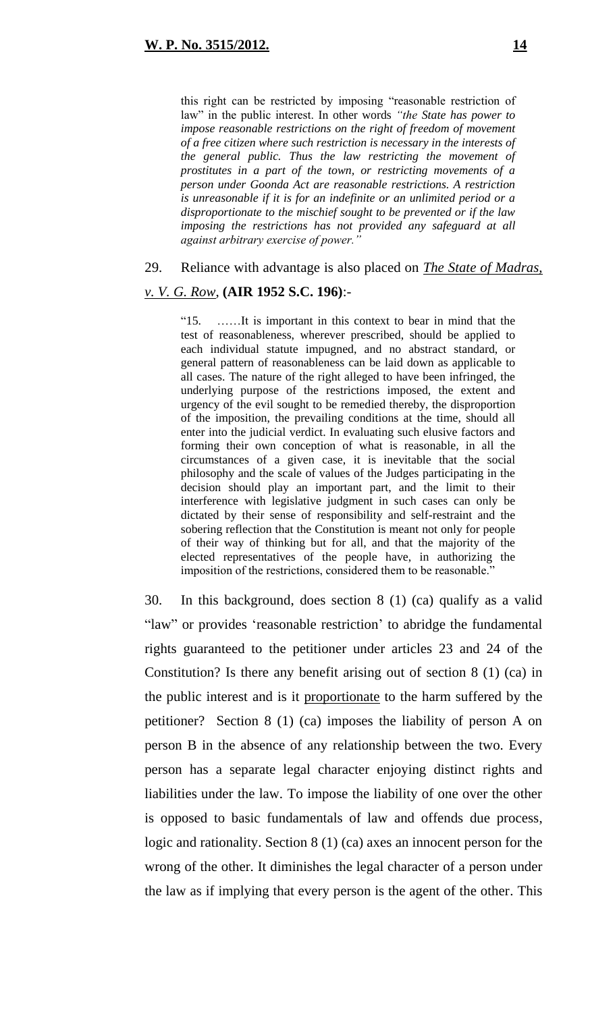this right can be restricted by imposing "reasonable restriction of law" in the public interest. In other words *"the State has power to impose reasonable restrictions on the right of freedom of movement of a free citizen where such restriction is necessary in the interests of the general public. Thus the law restricting the movement of prostitutes in a part of the town, or restricting movements of a person under Goonda Act are reasonable restrictions. A restriction is unreasonable if it is for an indefinite or an unlimited period or a disproportionate to the mischief sought to be prevented or if the law imposing the restrictions has not provided any safeguard at all against arbitrary exercise of power."* 

#### 29. Reliance with advantage is also placed on *The State of Madras,*

#### *v. V. G. Row*, **(AIR 1952 S.C. 196)**:-

"15. ……It is important in this context to bear in mind that the test of reasonableness, wherever prescribed, should be applied to each individual statute impugned, and no abstract standard, or general pattern of reasonableness can be laid down as applicable to all cases. The nature of the right alleged to have been infringed, the underlying purpose of the restrictions imposed, the extent and urgency of the evil sought to be remedied thereby, the disproportion of the imposition, the prevailing conditions at the time, should all enter into the judicial verdict. In evaluating such elusive factors and forming their own conception of what is reasonable, in all the circumstances of a given case, it is inevitable that the social philosophy and the scale of values of the Judges participating in the decision should play an important part, and the limit to their interference with legislative judgment in such cases can only be dictated by their sense of responsibility and self-restraint and the sobering reflection that the Constitution is meant not only for people of their way of thinking but for all, and that the majority of the elected representatives of the people have, in authorizing the imposition of the restrictions, considered them to be reasonable."

30. In this background, does section 8 (1) (ca) qualify as a valid "law" or provides 'reasonable restriction' to abridge the fundamental rights guaranteed to the petitioner under articles 23 and 24 of the Constitution? Is there any benefit arising out of section 8 (1) (ca) in the public interest and is it proportionate to the harm suffered by the petitioner? Section 8 (1) (ca) imposes the liability of person A on person B in the absence of any relationship between the two. Every person has a separate legal character enjoying distinct rights and liabilities under the law. To impose the liability of one over the other is opposed to basic fundamentals of law and offends due process, logic and rationality. Section 8 (1) (ca) axes an innocent person for the wrong of the other. It diminishes the legal character of a person under the law as if implying that every person is the agent of the other. This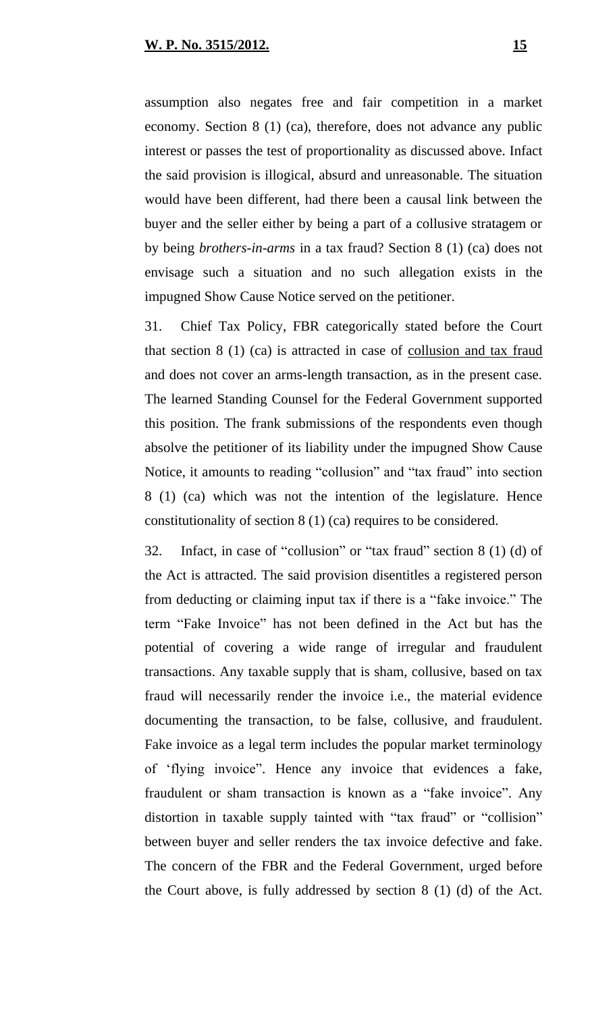assumption also negates free and fair competition in a market economy. Section 8 (1) (ca), therefore, does not advance any public interest or passes the test of proportionality as discussed above. Infact the said provision is illogical, absurd and unreasonable. The situation would have been different, had there been a causal link between the buyer and the seller either by being a part of a collusive stratagem or by being *brothers-in-arms* in a tax fraud? Section 8 (1) (ca) does not envisage such a situation and no such allegation exists in the impugned Show Cause Notice served on the petitioner.

31. Chief Tax Policy, FBR categorically stated before the Court that section 8 (1) (ca) is attracted in case of collusion and tax fraud and does not cover an arms-length transaction, as in the present case. The learned Standing Counsel for the Federal Government supported this position. The frank submissions of the respondents even though absolve the petitioner of its liability under the impugned Show Cause Notice, it amounts to reading "collusion" and "tax fraud" into section 8 (1) (ca) which was not the intention of the legislature. Hence constitutionality of section 8 (1) (ca) requires to be considered.

32. Infact, in case of "collusion" or "tax fraud" section 8 (1) (d) of the Act is attracted. The said provision disentitles a registered person from deducting or claiming input tax if there is a "fake invoice." The term "Fake Invoice" has not been defined in the Act but has the potential of covering a wide range of irregular and fraudulent transactions. Any taxable supply that is sham, collusive, based on tax fraud will necessarily render the invoice i.e., the material evidence documenting the transaction, to be false, collusive, and fraudulent. Fake invoice as a legal term includes the popular market terminology of 'flying invoice". Hence any invoice that evidences a fake, fraudulent or sham transaction is known as a "fake invoice". Any distortion in taxable supply tainted with "tax fraud" or "collision" between buyer and seller renders the tax invoice defective and fake. The concern of the FBR and the Federal Government, urged before the Court above, is fully addressed by section 8 (1) (d) of the Act.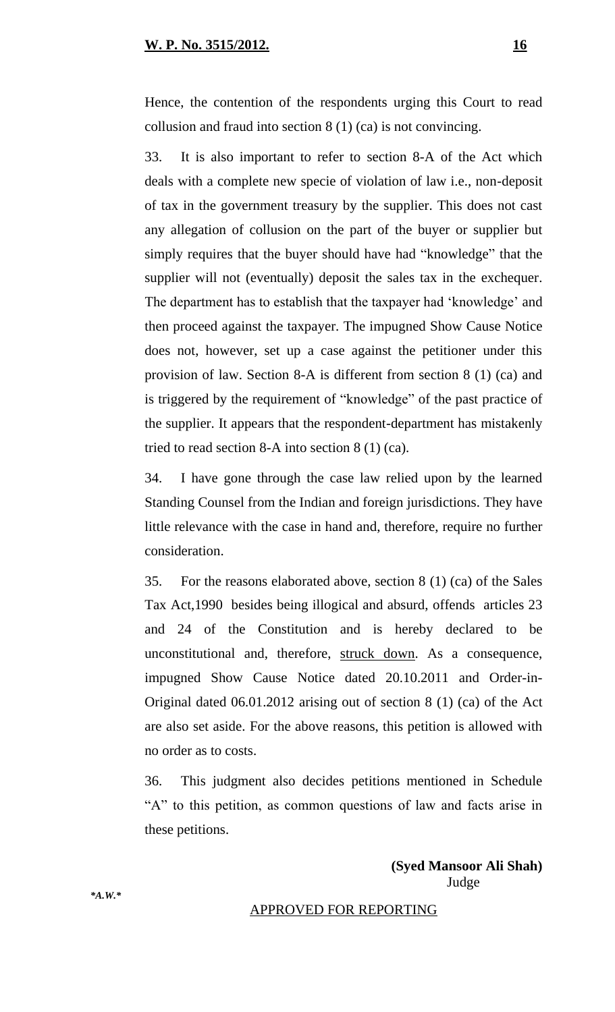Hence, the contention of the respondents urging this Court to read collusion and fraud into section 8 (1) (ca) is not convincing.

33. It is also important to refer to section 8-A of the Act which deals with a complete new specie of violation of law i.e., non-deposit of tax in the government treasury by the supplier. This does not cast any allegation of collusion on the part of the buyer or supplier but simply requires that the buyer should have had "knowledge" that the supplier will not (eventually) deposit the sales tax in the exchequer. The department has to establish that the taxpayer had 'knowledge' and then proceed against the taxpayer. The impugned Show Cause Notice does not, however, set up a case against the petitioner under this provision of law. Section 8-A is different from section 8 (1) (ca) and is triggered by the requirement of "knowledge" of the past practice of the supplier. It appears that the respondent-department has mistakenly tried to read section 8-A into section 8 (1) (ca).

34. I have gone through the case law relied upon by the learned Standing Counsel from the Indian and foreign jurisdictions. They have little relevance with the case in hand and, therefore, require no further consideration.

35. For the reasons elaborated above, section 8 (1) (ca) of the Sales Tax Act,1990 besides being illogical and absurd, offends articles 23 and 24 of the Constitution and is hereby declared to be unconstitutional and, therefore, struck down. As a consequence, impugned Show Cause Notice dated 20.10.2011 and Order-in-Original dated 06.01.2012 arising out of section 8 (1) (ca) of the Act are also set aside. For the above reasons, this petition is allowed with no order as to costs.

36. This judgment also decides petitions mentioned in Schedule "A" to this petition, as common questions of law and facts arise in these petitions.

> **(Syed Mansoor Ali Shah)** Judge

#### APPROVED FOR REPORTING

*\*A.W.\**